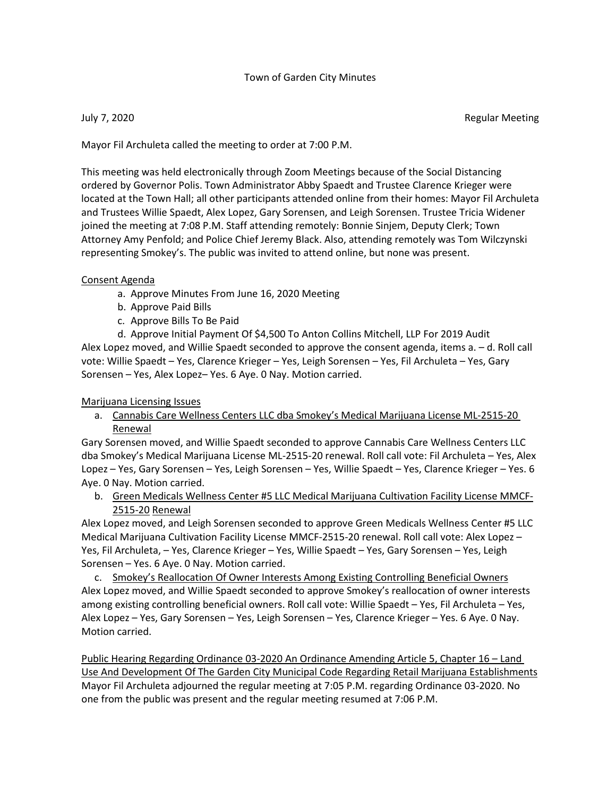## Town of Garden City Minutes

July 7, 2020 Regular Meeting

Mayor Fil Archuleta called the meeting to order at 7:00 P.M.

This meeting was held electronically through Zoom Meetings because of the Social Distancing ordered by Governor Polis. Town Administrator Abby Spaedt and Trustee Clarence Krieger were located at the Town Hall; all other participants attended online from their homes: Mayor Fil Archuleta and Trustees Willie Spaedt, Alex Lopez, Gary Sorensen, and Leigh Sorensen. Trustee Tricia Widener joined the meeting at 7:08 P.M. Staff attending remotely: Bonnie Sinjem, Deputy Clerk; Town Attorney Amy Penfold; and Police Chief Jeremy Black. Also, attending remotely was Tom Wilczynski representing Smokey's. The public was invited to attend online, but none was present.

## Consent Agenda

- a. Approve Minutes From June 16, 2020 Meeting
- b. Approve Paid Bills
- c. Approve Bills To Be Paid

d. Approve Initial Payment Of \$4,500 To Anton Collins Mitchell, LLP For 2019 Audit Alex Lopez moved, and Willie Spaedt seconded to approve the consent agenda, items a. – d. Roll call vote: Willie Spaedt – Yes, Clarence Krieger – Yes, Leigh Sorensen – Yes, Fil Archuleta – Yes, Gary Sorensen – Yes, Alex Lopez– Yes. 6 Aye. 0 Nay. Motion carried.

Marijuana Licensing Issues

a. Cannabis Care Wellness Centers LLC dba Smokey's Medical Marijuana License ML-2515-20 Renewal

Gary Sorensen moved, and Willie Spaedt seconded to approve Cannabis Care Wellness Centers LLC dba Smokey's Medical Marijuana License ML-2515-20 renewal. Roll call vote: Fil Archuleta – Yes, Alex Lopez – Yes, Gary Sorensen – Yes, Leigh Sorensen – Yes, Willie Spaedt – Yes, Clarence Krieger – Yes. 6 Aye. 0 Nay. Motion carried.

b. Green Medicals Wellness Center #5 LLC Medical Marijuana Cultivation Facility License MMCF-2515-20 Renewal

Alex Lopez moved, and Leigh Sorensen seconded to approve Green Medicals Wellness Center #5 LLC Medical Marijuana Cultivation Facility License MMCF-2515-20 renewal. Roll call vote: Alex Lopez – Yes, Fil Archuleta, – Yes, Clarence Krieger – Yes, Willie Spaedt – Yes, Gary Sorensen – Yes, Leigh Sorensen – Yes. 6 Aye. 0 Nay. Motion carried.

c. Smokey's Reallocation Of Owner Interests Among Existing Controlling Beneficial Owners Alex Lopez moved, and Willie Spaedt seconded to approve Smokey's reallocation of owner interests among existing controlling beneficial owners. Roll call vote: Willie Spaedt – Yes, Fil Archuleta – Yes, Alex Lopez – Yes, Gary Sorensen – Yes, Leigh Sorensen – Yes, Clarence Krieger – Yes. 6 Aye. 0 Nay. Motion carried.

Public Hearing Regarding Ordinance 03-2020 An Ordinance Amending Article 5, Chapter 16 – Land Use And Development Of The Garden City Municipal Code Regarding Retail Marijuana Establishments Mayor Fil Archuleta adjourned the regular meeting at 7:05 P.M. regarding Ordinance 03-2020. No one from the public was present and the regular meeting resumed at 7:06 P.M.